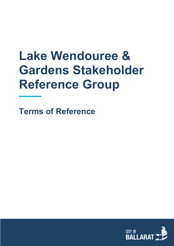# **Lake Wendouree & Gardens Stakeholder Reference Group**

**Terms of Reference**

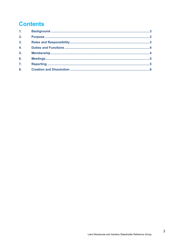# **Contents**

| 1.11             |  |
|------------------|--|
| 2.               |  |
| 3 <sub>1</sub>   |  |
| $\overline{4}$ . |  |
| 5 <sub>1</sub>   |  |
| 6.               |  |
| $\overline{7}$ . |  |
| 8.               |  |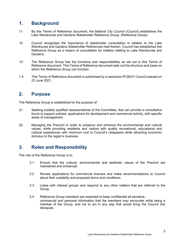# <span id="page-2-0"></span>**1. Background**

- 1.1 By this Terms of Reference document, the Ballarat City Council (Council) establishes the Lake Wendouree and Gardens Stakeholder Reference Group. (Reference Group)
- 1.2 Council recognises the importance of stakeholder consultation in relation to the Lake Wendouree and Gardens Stakeholder References held therein. Council has established this Reference Group as a means of consultation for matters relating to Lake Wendouree and Gardens.
- 1.3 The Reference Group has the functions and responsibilities as set out in this Terms of Reference document. This Terms of Reference document sets out the structure and basis on which the Reference Group can function.
- 1.4 This Terms of Reference document is authorised by a resolution R126/21 Council passed on 23 June 2021.

#### <span id="page-2-1"></span>**2. Purpose**

The Reference Group is established for the purpose of:

- 2.1 Seeking suitably qualified representatives of the Committee, that can provide a consultative forum to support policies, applications for development and commercial activity, with specific areas of management.
- 2.2 Managing the Precinct in order to preserve and enhance the environmental and cultural values, while providing residents and visitors with quality recreational, educational and cultural experiences with minimum cost to Council's ratepayers while attracting economic stimulus to the region's business.

# <span id="page-2-2"></span>**3. Roles and Responsibility**

The role of the Reference Group is to:

- 3.1 Ensure that the cultural, environmental and aesthetic values of the Precinct are maintained and enhanced.
- 3.2 Review applications for commercial licences and make recommendations to Council about their suitability and proposed terms and conditions.
- 3.3 Liaise with interest groups and respond to any other matters that are referred to the Group.
- 3.4 Reference Group members are expected to keep confidential all sensitive, commercial and personal information that the members may encounter while being a member of the Group, and not to act in any way that would bring the Council into disrepute.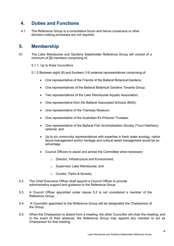# <span id="page-3-0"></span>**4. Duties and Functions**

4.1 The Reference Group is a consultative forum and hence consensus or other decision-making processes are not required.

#### <span id="page-3-1"></span>**5. Membership**

5.1 The Lake Wendouree and Gardens Stakeholder Reference Group will consist of a minimum of [8] members comprising of:

5.1.1. Up to three Councillors

- 5.1.2 Between eight (8) and fourteen (14) external representatives comprising of:
	- One representative of the Friends of the Ballarat Botanical Gardens;
	- One representatives of the Ballarat Botanical Gardens Tenants Group;
	- Two representatives of the Lake Wendouree Aquatic Association;
	- One representative from the Ballarat Associated Schools (BAS);
	- One representative of the Tramway Museum;
	- One representative of the Australian Ex-Prisoner Trustees;
	- One representative of the Ballarat Fish Acclimatisation Society (Trout Hatchery) optional; and
	- Up to six community representatives with expertise in fresh water ecology, native fauna management and/or heritage and cultural asset management would be an advantage.
	- Council Officers to assist and advise the Committee when necessary
		- o Director, Infrastructure and Environment;
		- o Supervisor Lake Wendouree; and
		- o Curator, Parks & Nursery
- 5.2 The Chief Executive Officer shall appoint a Council Officer to provide administrative support and guidance to the Reference Group.
- 5.3 A Council Officer appointed under clause 5.2 is not considered a member of the Reference Group.
- 5.4 A Councillor appointed to the Reference Group will be designated the Chairperson of the Group.
- 5.5 When the Chairperson is absent from a meeting, the other Councillor will chair the meeting, and in the event of their absence, the Reference Group may appoint any member to act as Chairperson for that meeting.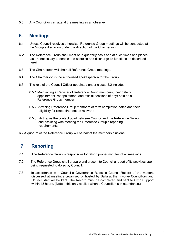5.6 Any Councillor can attend the meeting as an observer

### <span id="page-4-0"></span>**6. Meetings**

- 6.1 Unless Council resolves otherwise, Reference Group meetings will be conducted at the Group's discretion under the direction of the Chairperson.
- 6.2. The Reference Group shall meet on a quarterly basis and at such times and places as are necessary to enable it to exercise and discharge its functions as described herein.
- 6.3. The Chairperson will chair all Reference Group meetings.
- 6.4. The Chairperson is the authorised spokesperson for the Group.
- 6.5. The role of the Council Officer appointed under clause 5.2 includes:
	- 6.5.1 Maintaining a Register of Reference Group members, their date of appointment, reappointment and official positions (if any) held as a Reference Group member;
	- 6.5.2 Advising Reference Group members of term completion dates and their eligibility for reappointment as relevant;
	- 6.5.3 Acting as the contact point between Council and the Reference Group; and assisting with meeting the Reference Group's reporting requirements.
- 6.2 A quorum of the Reference Group will be half of the members plus one.

# <span id="page-4-1"></span>**7. Reporting**

- 7.1 The Reference Group is responsible for taking proper minutes of all meetings.
- 7.2 The Reference Group shall prepare and present to Council a report of its activities upon being requested to do so by Council.
- 7.3 In accordance with Council's Governance Rules, a Council Record of the matters discussed at meetings organised or hosted by Ballarat that involve Councillors and Council staff will be kept. The Record must be completed and sent to Civic Support within 48 hours. (Note – this only applies when a Councillor is in attendance.)